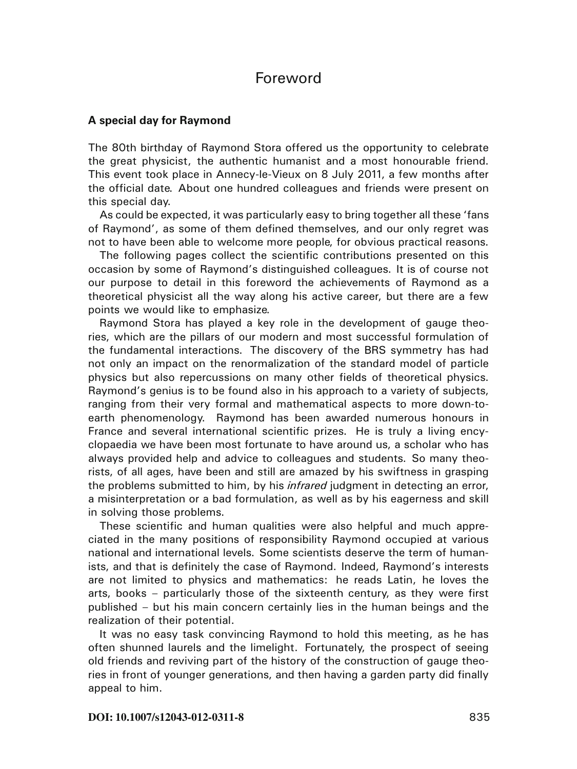## Foreword

## **A special day for Raymond**

The 80th birthday of Raymond Stora offered us the opportunity to celebrate the great physicist, the authentic humanist and a most honourable friend. This event took place in Annecy-le-Vieux on 8 July 2011, a few months after the official date. About one hundred colleagues and friends were present on this special day.

As could be expected, it was particularly easy to bring together all these 'fans of Raymond', as some of them defined themselves, and our only regret was not to have been able to welcome more people, for obvious practical reasons.

The following pages collect the scientific contributions presented on this occasion by some of Raymond's distinguished colleagues. It is of course not our purpose to detail in this foreword the achievements of Raymond as a theoretical physicist all the way along his active career, but there are a few points we would like to emphasize.

Raymond Stora has played a key role in the development of gauge theories, which are the pillars of our modern and most successful formulation of the fundamental interactions. The discovery of the BRS symmetry has had not only an impact on the renormalization of the standard model of particle physics but also repercussions on many other fields of theoretical physics. Raymond's genius is to be found also in his approach to a variety of subjects, ranging from their very formal and mathematical aspects to more down-toearth phenomenology. Raymond has been awarded numerous honours in France and several international scientific prizes. He is truly a living encyclopaedia we have been most fortunate to have around us, a scholar who has always provided help and advice to colleagues and students. So many theorists, of all ages, have been and still are amazed by his swiftness in grasping the problems submitted to him, by his *infrared* judgment in detecting an error, a misinterpretation or a bad formulation, as well as by his eagerness and skill in solving those problems.

These scientific and human qualities were also helpful and much appreciated in the many positions of responsibility Raymond occupied at various national and international levels. Some scientists deserve the term of humanists, and that is definitely the case of Raymond. Indeed, Raymond's interests are not limited to physics and mathematics: he reads Latin, he loves the arts, books – particularly those of the sixteenth century, as they were first published – but his main concern certainly lies in the human beings and the realization of their potential.

It was no easy task convincing Raymond to hold this meeting, as he has often shunned laurels and the limelight. Fortunately, the prospect of seeing old friends and reviving part of the history of the construction of gauge theories in front of younger generations, and then having a garden party did finally appeal to him.